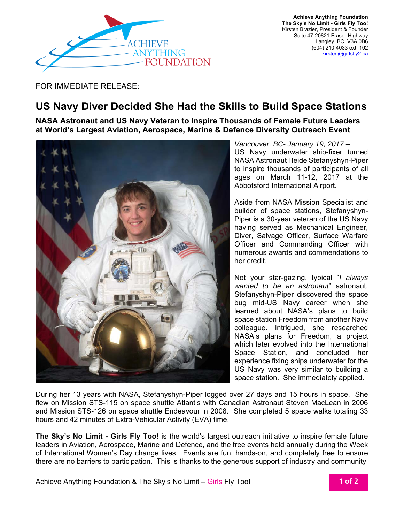

 **Achieve Anything Foundation The Sky's No Limit - Girls Fly Too!**  Kirsten Brazier, President & Founder Suite 47-20821 Fraser Highway Langley, BC V3A 0B6 (604) 210-4033 ext. 102 kirsten@girlsfly2.ca

FOR IMMEDIATE RELEASE:

## **US Navy Diver Decided She Had the Skills to Build Space Stations**

**NASA Astronaut and US Navy Veteran to Inspire Thousands of Female Future Leaders at World's Largest Aviation, Aerospace, Marine & Defence Diversity Outreach Event**



*Vancouver, BC- January 19, 2017 –*  US Navy underwater ship-fixer turned NASA Astronaut Heide Stefanyshyn-Piper to inspire thousands of participants of all ages on March 11-12, 2017 at the Abbotsford International Airport.

Aside from NASA Mission Specialist and builder of space stations, Stefanyshyn-Piper is a 30-year veteran of the US Navy having served as Mechanical Engineer, Diver, Salvage Officer, Surface Warfare Officer and Commanding Officer with numerous awards and commendations to her credit.

Not your star-gazing, typical "*I always wanted to be an astronaut*" astronaut, Stefanyshyn-Piper discovered the space bug mid-US Navy career when she learned about NASA's plans to build space station Freedom from another Navy colleague. Intrigued, she researched NASA's plans for Freedom, a project which later evolved into the International Space Station, and concluded her experience fixing ships underwater for the US Navy was very similar to building a space station. She immediately applied.

During her 13 years with NASA, Stefanyshyn-Piper logged over 27 days and 15 hours in space. She flew on Mission STS-115 on space shuttle Atlantis with Canadian Astronaut Steven MacLean in 2006 and Mission STS-126 on space shuttle Endeavour in 2008. She completed 5 space walks totaling 33 hours and 42 minutes of Extra-Vehicular Activity (EVA) time.

**The Sky's No Limit - Girls Fly Too!** is the world's largest outreach initiative to inspire female future leaders in Aviation, Aerospace, Marine and Defence, and the free events held annually during the Week of International Women's Day change lives. Events are fun, hands-on, and completely free to ensure there are no barriers to participation. This is thanks to the generous support of industry and community